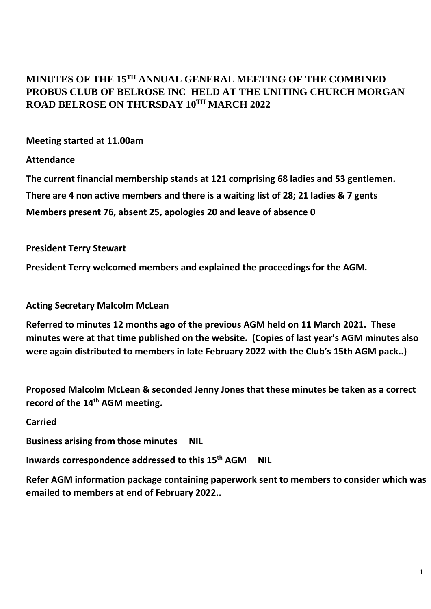## **MINUTES OF THE 15 TH ANNUAL GENERAL MEETING OF THE COMBINED PROBUS CLUB OF BELROSE INC HELD AT THE UNITING CHURCH MORGAN ROAD BELROSE ON THURSDAY 10 TH MARCH 2022**

**Meeting started at 11.00am**

**Attendance**

**The current financial membership stands at 121 comprising 68 ladies and 53 gentlemen. There are 4 non active members and there is a waiting list of 28; 21 ladies & 7 gents Members present 76, absent 25, apologies 20 and leave of absence 0**

**President Terry Stewart**

**President Terry welcomed members and explained the proceedings for the AGM.**

**Acting Secretary Malcolm McLean**

**Referred to minutes 12 months ago of the previous AGM held on 11 March 2021. These minutes were at that time published on the website. (Copies of last year's AGM minutes also were again distributed to members in late February 2022 with the Club's 15th AGM pack..)**

**Proposed Malcolm McLean & seconded Jenny Jones that these minutes be taken as a correct record of the 14th AGM meeting.** 

**Carried** 

**Business arising from those minutes NIL**

**Inwards correspondence addressed to this 15th AGM NIL**

**Refer AGM information package containing paperwork sent to members to consider which was emailed to members at end of February 2022..**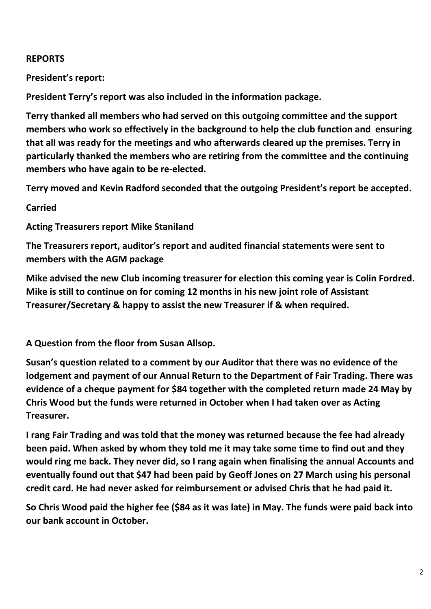## **REPORTS**

**President's report:** 

**President Terry's report was also included in the information package.**

**Terry thanked all members who had served on this outgoing committee and the support members who work so effectively in the background to help the club function and ensuring that all was ready for the meetings and who afterwards cleared up the premises. Terry in particularly thanked the members who are retiring from the committee and the continuing members who have again to be re-elected.**

**Terry moved and Kevin Radford seconded that the outgoing President's report be accepted.**

**Carried** 

**Acting Treasurers report Mike Staniland**

**The Treasurers report, auditor's report and audited financial statements were sent to members with the AGM package**

**Mike advised the new Club incoming treasurer for election this coming year is Colin Fordred. Mike is still to continue on for coming 12 months in his new joint role of Assistant Treasurer/Secretary & happy to assist the new Treasurer if & when required.**

**A Question from the floor from Susan Allsop.**

**Susan's question related to a comment by our Auditor that there was no evidence of the lodgement and payment of our Annual Return to the Department of Fair Trading. There was evidence of a cheque payment for \$84 together with the completed return made 24 May by Chris Wood but the funds were returned in October when I had taken over as Acting Treasurer.**

**I rang Fair Trading and was told that the money was returned because the fee had already been paid. When asked by whom they told me it may take some time to find out and they would ring me back. They never did, so I rang again when finalising the annual Accounts and eventually found out that \$47 had been paid by Geoff Jones on 27 March using his personal credit card. He had never asked for reimbursement or advised Chris that he had paid it.**

**So Chris Wood paid the higher fee (\$84 as it was late) in May. The funds were paid back into our bank account in October.**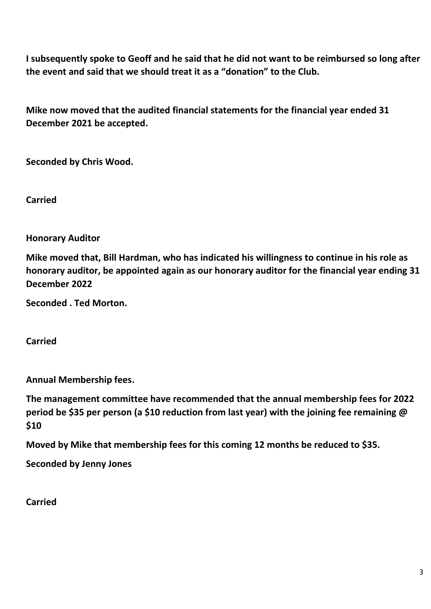**I subsequently spoke to Geoff and he said that he did not want to be reimbursed so long after the event and said that we should treat it as a "donation" to the Club.**

**Mike now moved that the audited financial statements for the financial year ended 31 December 2021 be accepted.** 

**Seconded by Chris Wood.** 

**Carried**

## **Honorary Auditor**

**Mike moved that, Bill Hardman, who has indicated his willingness to continue in his role as honorary auditor, be appointed again as our honorary auditor for the financial year ending 31 December 2022**

**Seconded . Ted Morton.** 

**Carried**

**Annual Membership fees.** 

**The management committee have recommended that the annual membership fees for 2022 period be \$35 per person (a \$10 reduction from last year) with the joining fee remaining @ \$10**

**Moved by Mike that membership fees for this coming 12 months be reduced to \$35.**

**Seconded by Jenny Jones**

**Carried**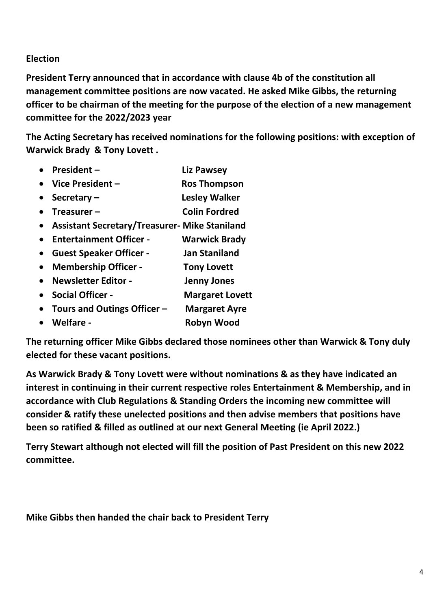## **Election**

**President Terry announced that in accordance with clause 4b of the constitution all management committee positions are now vacated. He asked Mike Gibbs, the returning officer to be chairman of the meeting for the purpose of the election of a new management committee for the 2022/2023 year**

**The Acting Secretary has received nominations for the following positions: with exception of Warwick Brady & Tony Lovett .**

- **President – Liz Pawsey** • **Vice President – Ros Thompson** • **Secretary – Lesley Walker** • **Treasurer – Colin Fordred**  • **Assistant Secretary/Treasurer- Mike Staniland** • **Entertainment Officer - Warwick Brady** • **Guest Speaker Officer - Jan Staniland** • **Membership Officer - Tony Lovett** • **Newsletter Editor - Jenny Jones**
- **Social Officer Margaret Lovett**
- **Tours and Outings Officer – Margaret Ayre**
- **Welfare Robyn Wood**

**The returning officer Mike Gibbs declared those nominees other than Warwick & Tony duly elected for these vacant positions.**

**As Warwick Brady & Tony Lovett were without nominations & as they have indicated an interest in continuing in their current respective roles Entertainment & Membership, and in accordance with Club Regulations & Standing Orders the incoming new committee will consider & ratify these unelected positions and then advise members that positions have been so ratified & filled as outlined at our next General Meeting (ie April 2022.)**

**Terry Stewart although not elected will fill the position of Past President on this new 2022 committee.**

**Mike Gibbs then handed the chair back to President Terry**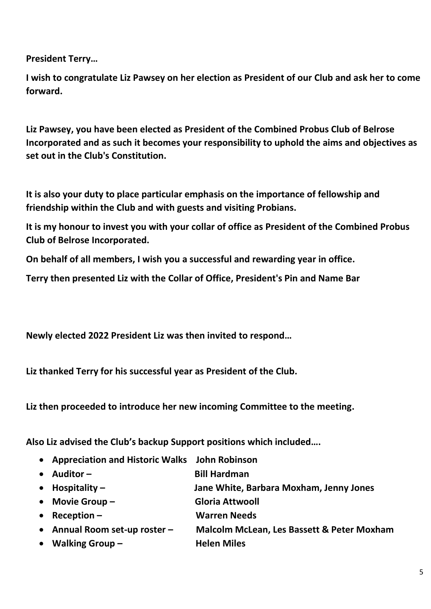**President Terry…**

**I wish to congratulate Liz Pawsey on her election as President of our Club and ask her to come forward.**

**Liz Pawsey, you have been elected as President of the Combined Probus Club of Belrose Incorporated and as such it becomes your responsibility to uphold the aims and objectives as set out in the Club's Constitution.**

**It is also your duty to place particular emphasis on the importance of fellowship and friendship within the Club and with guests and visiting Probians.** 

**It is my honour to invest you with your collar of office as President of the Combined Probus Club of Belrose Incorporated.**

**On behalf of all members, I wish you a successful and rewarding year in office.**

**Terry then presented Liz with the Collar of Office, President's Pin and Name Bar**

**Newly elected 2022 President Liz was then invited to respond…**

**Liz thanked Terry for his successful year as President of the Club.** 

**Liz then proceeded to introduce her new incoming Committee to the meeting.**

**Also Liz advised the Club's backup Support positions which included….**

|           | • Appreciation and Historic Walks John Robinson |                                            |
|-----------|-------------------------------------------------|--------------------------------------------|
| $\bullet$ | Auditor $-$                                     | <b>Bill Hardman</b>                        |
|           | $\bullet$ Hospitality –                         | Jane White, Barbara Moxham, Jenny Jones    |
|           | • Movie Group $-$                               | <b>Gloria Attwooll</b>                     |
| $\bullet$ | $Reception -$                                   | <b>Warren Needs</b>                        |
|           | • Annual Room set-up roster $-$                 | Malcolm McLean, Les Bassett & Peter Moxham |
| $\bullet$ | Walking Group $-$                               | <b>Helen Miles</b>                         |
|           |                                                 |                                            |